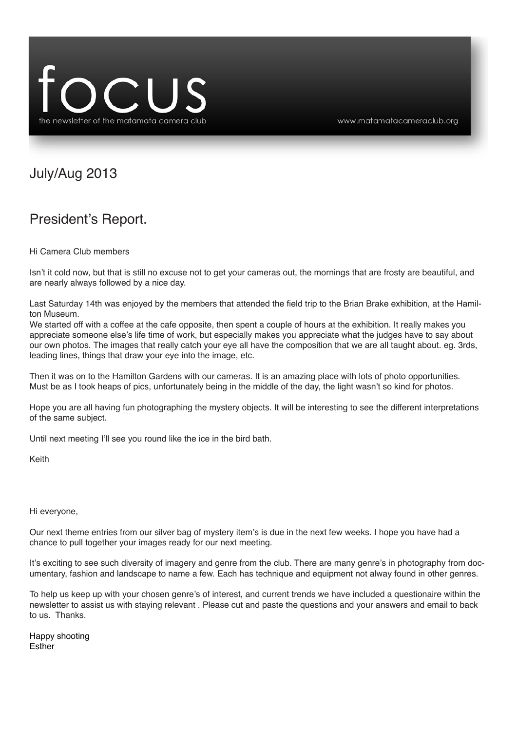

#### July/Aug 2013

#### President's Report.

Hi Camera Club members

Isn't it cold now, but that is still no excuse not to get your cameras out, the mornings that are frosty are beautiful, and are nearly always followed by a nice day.

Last Saturday 14th was enjoyed by the members that attended the field trip to the Brian Brake exhibition, at the Hamilton Museum.

We started off with a coffee at the cafe opposite, then spent a couple of hours at the exhibition. It really makes you appreciate someone else's life time of work, but especially makes you appreciate what the judges have to say about our own photos. The images that really catch your eye all have the composition that we are all taught about. eg. 3rds, leading lines, things that draw your eye into the image, etc.

Then it was on to the Hamilton Gardens with our cameras. It is an amazing place with lots of photo opportunities. Must be as I took heaps of pics, unfortunately being in the middle of the day, the light wasn't so kind for photos.

Hope you are all having fun photographing the mystery objects. It will be interesting to see the different interpretations of the same subject.

Until next meeting I'll see you round like the ice in the bird bath.

Keith

Hi everyone,

Our next theme entries from our silver bag of mystery item's is due in the next few weeks. I hope you have had a chance to pull together your images ready for our next meeting.

It's exciting to see such diversity of imagery and genre from the club. There are many genre's in photography from documentary, fashion and landscape to name a few. Each has technique and equipment not alway found in other genres.

To help us keep up with your chosen genre's of interest, and current trends we have included a questionaire within the newsletter to assist us with staying relevant . Please cut and paste the questions and your answers and email to back to us. Thanks.

Happy shooting Esther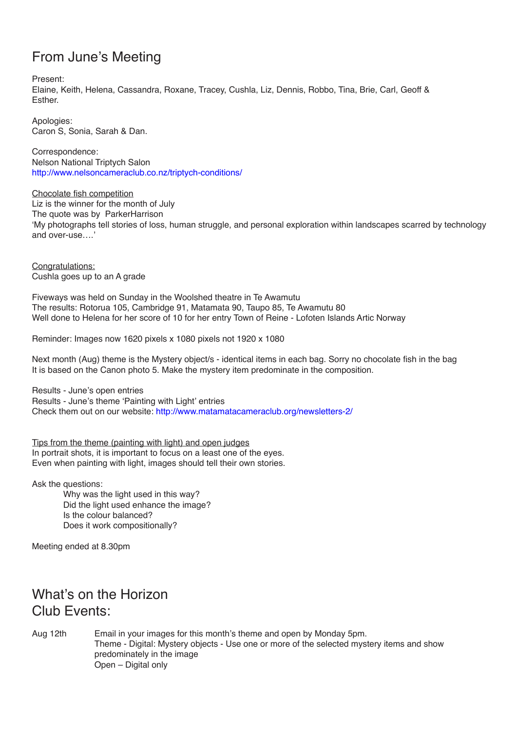# From June's Meeting

Present:

Elaine, Keith, Helena, Cassandra, Roxane, Tracey, Cushla, Liz, Dennis, Robbo, Tina, Brie, Carl, Geoff & Esther.

Apologies: Caron S, Sonia, Sarah & Dan.

Correspondence: Nelson National Triptych Salon http://www.nelsoncameraclub.co.nz/triptych-conditions/

Chocolate fish competition Liz is the winner for the month of July The quote was by ParkerHarrison 'My photographs tell stories of loss, human struggle, and personal exploration within landscapes scarred by technology and over-use….'

Congratulations: Cushla goes up to an A grade

Fiveways was held on Sunday in the Woolshed theatre in Te Awamutu The results: Rotorua 105, Cambridge 91, Matamata 90, Taupo 85, Te Awamutu 80 Well done to Helena for her score of 10 for her entry Town of Reine - Lofoten Islands Artic Norway

Reminder: Images now 1620 pixels x 1080 pixels not 1920 x 1080

Next month (Aug) theme is the Mystery object/s - identical items in each bag. Sorry no chocolate fish in the bag It is based on the Canon photo 5. Make the mystery item predominate in the composition.

Results - June's open entries Results - June's theme 'Painting with Light' entries Check them out on our website: http://www.matamatacameraclub.org/newsletters-2/

Tips from the theme (painting with light) and open judges In portrait shots, it is important to focus on a least one of the eyes. Even when painting with light, images should tell their own stories.

Ask the questions:

Why was the light used in this way? Did the light used enhance the image? Is the colour balanced? Does it work compositionally?

Meeting ended at 8.30pm

# What's on the Horizon Club Events:

Aug 12th Email in your images for this month's theme and open by Monday 5pm. Theme - Digital: Mystery objects - Use one or more of the selected mystery items and show predominately in the image Open – Digital only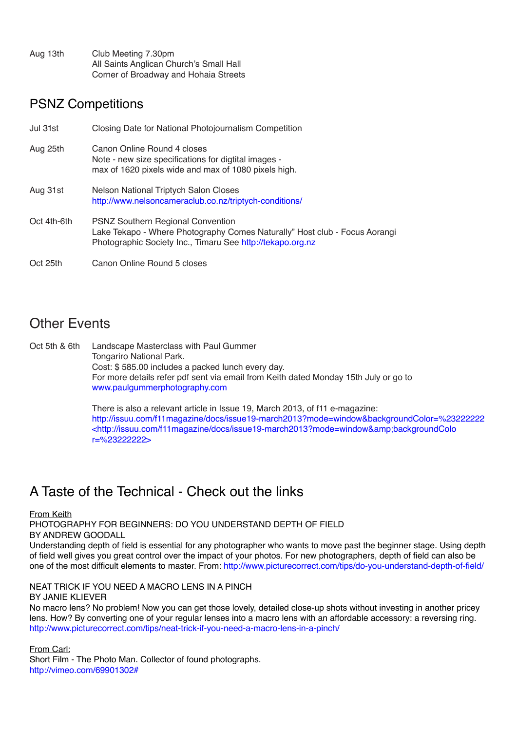Aug 13th Club Meeting 7.30pm All Saints Anglican Church's Small Hall Corner of Broadway and Hohaia Streets

#### PSNZ Competitions

| Jul 31st    | Closing Date for National Photojournalism Competition                                                                                                                                |
|-------------|--------------------------------------------------------------------------------------------------------------------------------------------------------------------------------------|
| Aug 25th    | Canon Online Round 4 closes<br>Note - new size specifications for digtital images -<br>max of 1620 pixels wide and max of 1080 pixels high.                                          |
| Aug 31st    | Nelson National Triptych Salon Closes<br>http://www.nelsoncameraclub.co.nz/triptych-conditions/                                                                                      |
| Oct 4th-6th | <b>PSNZ Southern Regional Convention</b><br>Lake Tekapo - Where Photography Comes Naturally" Host club - Focus Aorangi<br>Photographic Society Inc., Timaru See http://tekapo.org.nz |
| Oct 25th    | Canon Online Round 5 closes                                                                                                                                                          |

# Other Events

Oct 5th & 6th Landscape Masterclass with Paul Gummer Tongariro National Park. Cost: \$ 585.00 includes a packed lunch every day. For more details refer pdf sent via email from Keith dated Monday 15th July or go to www.paulgummerphotography.com

> There is also a relevant article in Issue 19, March 2013, of f11 e-magazine: http://issuu.com/f11magazine/docs/issue19-march2013?mode=window&backgroundColor=%23222222 <http://issuu.com/f11magazine/docs/issue19-march2013?mode=window&amp;backgroundColo r=%23222222>

# A Taste of the Technical - Check out the links

From Keith

PHOTOGRAPHY FOR BEGINNERS: DO YOU UNDERSTAND DEPTH OF FIELD BY ANDREW GOODALL

Understanding depth of field is essential for any photographer who wants to move past the beginner stage. Using depth of field well gives you great control over the impact of your photos. For new photographers, depth of field can also be one of the most difficult elements to master. From: http://www.picturecorrect.com/tips/do-you-understand-depth-of-field/

NEAT TRICK IF YOU NEED A MACRO LENS IN A PINCH

BY JANIE KLIEVER

No macro lens? No problem! Now you can get those lovely, detailed close-up shots without investing in another pricey lens. How? By converting one of your regular lenses into a macro lens with an affordable accessory: a reversing ring. http://www.picturecorrect.com/tips/neat-trick-if-you-need-a-macro-lens-in-a-pinch/

From Carl:

Short Film - The Photo Man. Collector of found photographs. http://vimeo.com/69901302#